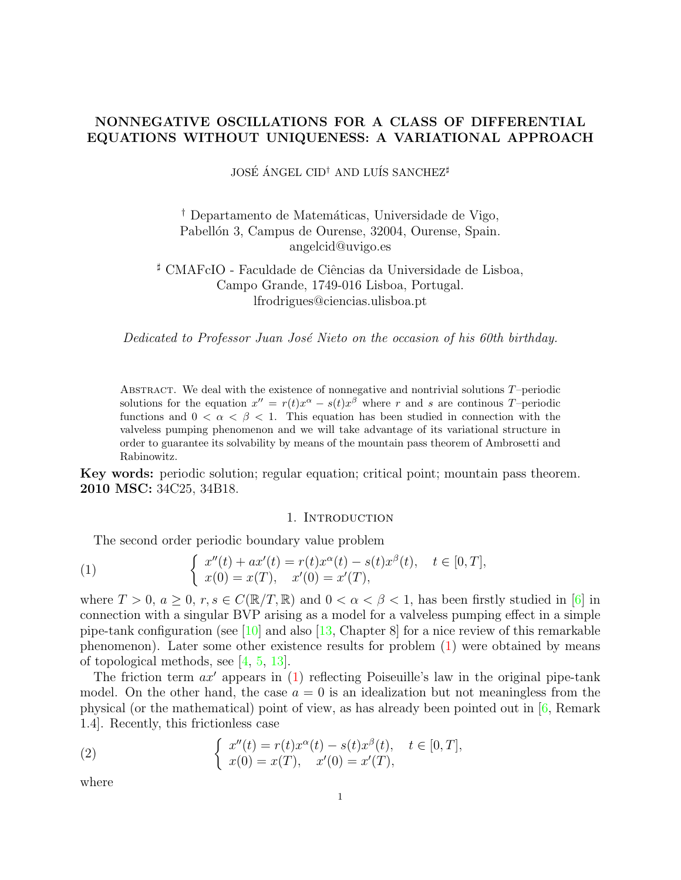# NONNEGATIVE OSCILLATIONS FOR A CLASS OF DIFFERENTIAL EQUATIONS WITHOUT UNIQUENESS: A VARIATIONAL APPROACH

JOSÉ ÁNGEL CID<sup>†</sup> AND LUÍS SANCHEZ<sup>#</sup>

<sup>†</sup> Departamento de Matemáticas, Universidade de Vigo, Pabellón 3, Campus de Ourense, 32004, Ourense, Spain. angelcid@uvigo.es

 $\sharp$  CMAFcIO - Faculdade de Ciências da Universidade de Lisboa, Campo Grande, 1749-016 Lisboa, Portugal. lfrodrigues@ciencias.ulisboa.pt

Dedicated to Professor Juan José Nieto on the occasion of his 60th birthday.

ABSTRACT. We deal with the existence of nonnegative and nontrivial solutions  $T$ –periodic solutions for the equation  $x'' = r(t)x^{\alpha} - s(t)x^{\beta}$  where r and s are continous T-periodic functions and  $0 < \alpha < \beta < 1$ . This equation has been studied in connection with the valveless pumping phenomenon and we will take advantage of its variational structure in order to guarantee its solvability by means of the mountain pass theorem of Ambrosetti and Rabinowitz.

Key words: periodic solution; regular equation; critical point; mountain pass theorem. 2010 MSC: 34C25, 34B18.

## 1. INTRODUCTION

<span id="page-0-0"></span>The second order periodic boundary value problem

(1) 
$$
\begin{cases} x''(t) + ax'(t) = r(t)x^{\alpha}(t) - s(t)x^{\beta}(t), & t \in [0, T], \\ x(0) = x(T), & x'(0) = x'(T), \end{cases}
$$

where  $T > 0$ ,  $a > 0$ ,  $r, s \in C(\mathbb{R}/T, \mathbb{R})$  and  $0 < \alpha < \beta < 1$ , has been firstly studied in [\[6\]](#page-9-0) in connection with a singular BVP arising as a model for a valveless pumping effect in a simple pipe-tank configuration (see  $[10]$  and also  $[13,$  Chapter 8] for a nice review of this remarkable phenomenon). Later some other existence results for problem [\(1\)](#page-0-0) were obtained by means of topological methods, see [\[4,](#page-9-3) [5,](#page-9-4) [13\]](#page-9-2).

The friction term  $ax'$  appears in  $(1)$  reflecting Poiseuille's law in the original pipe-tank model. On the other hand, the case  $a = 0$  is an idealization but not meaningless from the physical (or the mathematical) point of view, as has already been pointed out in [\[6,](#page-9-0) Remark 1.4]. Recently, this frictionless case

<span id="page-0-1"></span>(2) 
$$
\begin{cases} x''(t) = r(t)x^{\alpha}(t) - s(t)x^{\beta}(t), & t \in [0, T], \\ x(0) = x(T), & x'(0) = x'(T), \end{cases}
$$

where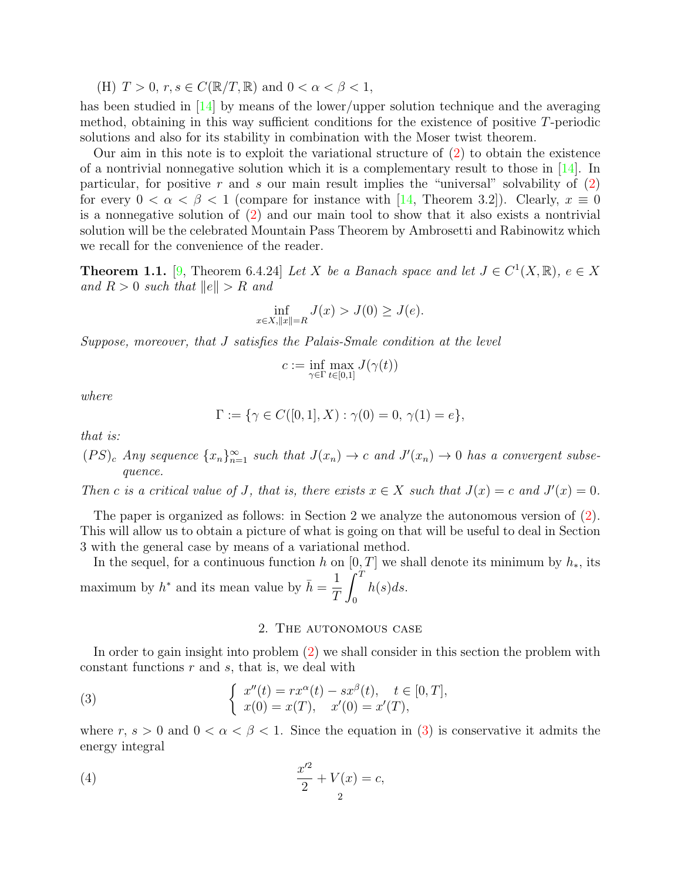(H)  $T > 0$ ,  $r, s \in C(\mathbb{R}/T, \mathbb{R})$  and  $0 < \alpha < \beta < 1$ ,

has been studied in [\[14\]](#page-9-5) by means of the lower/upper solution technique and the averaging method, obtaining in this way sufficient conditions for the existence of positive T-periodic solutions and also for its stability in combination with the Moser twist theorem.

Our aim in this note is to exploit the variational structure of [\(2\)](#page-0-1) to obtain the existence of a nontrivial nonnegative solution which it is a complementary result to those in [\[14\]](#page-9-5). In particular, for positive r and s our main result implies the "universal" solvability of  $(2)$ for every  $0 < \alpha < \beta < 1$  (compare for instance with [\[14,](#page-9-5) Theorem 3.2]). Clearly,  $x \equiv 0$ is a nonnegative solution of [\(2\)](#page-0-1) and our main tool to show that it also exists a nontrivial solution will be the celebrated Mountain Pass Theorem by Ambrosetti and Rabinowitz which we recall for the convenience of the reader.

<span id="page-1-1"></span>**Theorem 1.1.** [\[9,](#page-9-6) Theorem 6.4.24] Let X be a Banach space and let  $J \in C^1(X, \mathbb{R})$ ,  $e \in X$ and  $R > 0$  such that  $||e|| > R$  and

$$
\inf_{x \in X, \|x\| = R} J(x) > J(0) \ge J(e).
$$

Suppose, moreover, that J satisfies the Palais-Smale condition at the level

$$
c:=\inf_{\gamma\in\Gamma}\max_{t\in[0,1]}J(\gamma(t))
$$

where

$$
\Gamma := \{ \gamma \in C([0,1], X) : \gamma(0) = 0, \gamma(1) = e \},
$$

that is:

 $(PS)_c$  Any sequence  $\{x_n\}_{n=1}^{\infty}$  such that  $J(x_n) \to c$  and  $J'(x_n) \to 0$  has a convergent subsequence.

Then c is a critical value of J, that is, there exists  $x \in X$  such that  $J(x) = c$  and  $J'(x) = 0$ .

The paper is organized as follows: in Section 2 we analyze the autonomous version of [\(2\)](#page-0-1). This will allow us to obtain a picture of what is going on that will be useful to deal in Section 3 with the general case by means of a variational method.

In the sequel, for a continuous function h on [0, T] we shall denote its minimum by  $h_*$ , its maximum by  $h^*$  and its mean value by  $\bar{h} = \frac{1}{\sigma}$ T  $\int_0^T$ 0  $h(s)ds$ .

## <span id="page-1-0"></span>2. The autonomous case

In order to gain insight into problem [\(2\)](#page-0-1) we shall consider in this section the problem with constant functions  $r$  and  $s$ , that is, we deal with

(3) 
$$
\begin{cases} x''(t) = rx^{\alpha}(t) - sx^{\beta}(t), \quad t \in [0, T], \\ x(0) = x(T), \quad x'(0) = x'(T), \end{cases}
$$

where  $r, s > 0$  and  $0 < \alpha < \beta < 1$ . Since the equation in [\(3\)](#page-1-0) is conservative it admits the energy integral

(4) 
$$
\frac{x'^2}{2} + V(x) = c,
$$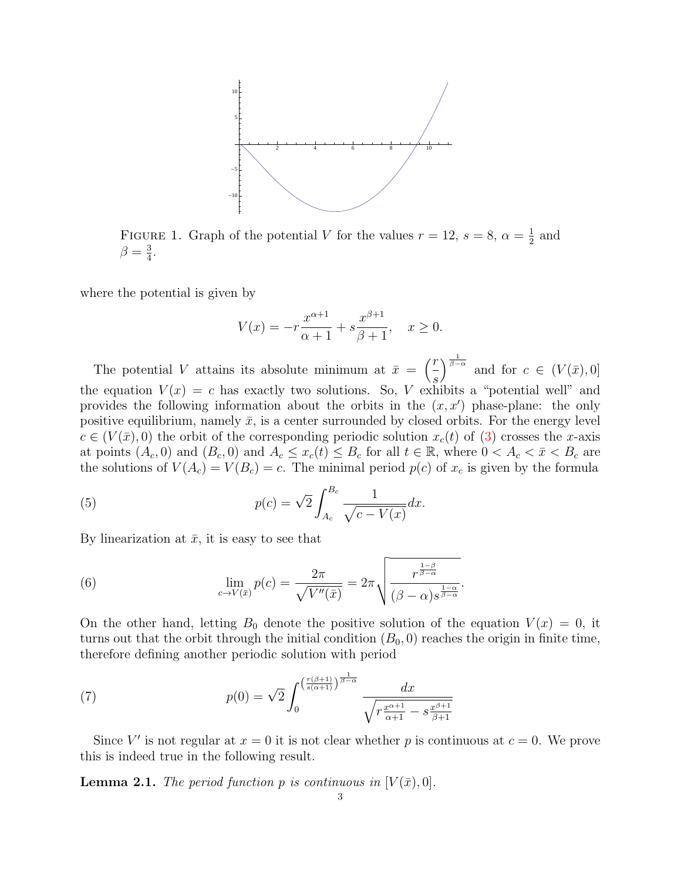

FIGURE 1. Graph of the potential V for the values  $r = 12$ ,  $s = 8$ ,  $\alpha = \frac{1}{2}$  $rac{1}{2}$  and  $\beta = \frac{3}{4}$  $\frac{3}{4}$ .

where the potential is given by

$$
V(x) = -r \frac{x^{\alpha+1}}{\alpha+1} + s \frac{x^{\beta+1}}{\beta+1}, \quad x \ge 0.
$$

The potential V attains its absolute minimum at  $\bar{x} = \begin{pmatrix} r \ -r \end{pmatrix}$ s  $\int_{\beta-\alpha}^{\frac{1}{\beta-\alpha}}$  and for  $c \in (V(\bar{x}),0]$ the equation  $V(x) = c$  has exactly two solutions. So, V exhibits a "potential well" and provides the following information about the orbits in the  $(x, x')$  phase-plane: the only positive equilibrium, namely  $\bar{x}$ , is a center surrounded by closed orbits. For the energy level  $c \in (V(\bar{x}), 0)$  the orbit of the corresponding periodic solution  $x_c(t)$  of  $(3)$  crosses the x-axis at points  $(A_c, 0)$  and  $(B_c, 0)$  and  $A_c \leq x_c(t) \leq B_c$  for all  $t \in \mathbb{R}$ , where  $0 < A_c < \bar{x} < B_c$  are the solutions of  $V(A_c) = V(B_c) = c$ . The minimal period  $p(c)$  of  $x_c$  is given by the formula

(5) 
$$
p(c) = \sqrt{2} \int_{A_c}^{B_c} \frac{1}{\sqrt{c - V(x)}} dx.
$$

By linearization at  $\bar{x}$ , it is easy to see that

(6) 
$$
\lim_{c \to V(\bar{x})} p(c) = \frac{2\pi}{\sqrt{V''(\bar{x})}} = 2\pi \sqrt{\frac{r^{\frac{1-\beta}{\beta-\alpha}}}{(\beta-\alpha)s^{\frac{1-\alpha}{\beta-\alpha}}}}
$$

On the other hand, letting  $B_0$  denote the positive solution of the equation  $V(x) = 0$ , it turns out that the orbit through the initial condition  $(B_0, 0)$  reaches the origin in finite time, therefore defining another periodic solution with period

.

(7) 
$$
p(0) = \sqrt{2} \int_0^{\left(\frac{r(\beta+1)}{s(\alpha+1)}\right)^{\frac{1}{\beta-\alpha}}}\frac{dx}{\sqrt{r\frac{x^{\alpha+1}}{\alpha+1} - s\frac{x^{\beta+1}}{\beta+1}}}
$$

Since V' is not regular at  $x = 0$  it is not clear whether p is continuous at  $c = 0$ . We prove this is indeed true in the following result.

**Lemma 2.1.** The period function p is continuous in  $[V(\bar{x}), 0]$ .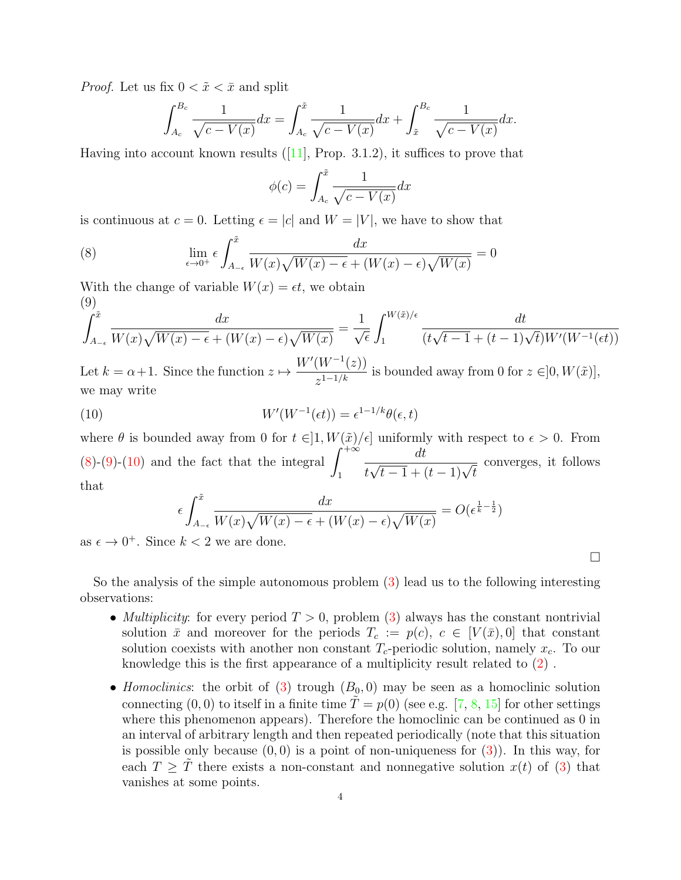*Proof.* Let us fix  $0 < \tilde{x} < \bar{x}$  and split

$$
\int_{A_c}^{B_c} \frac{1}{\sqrt{c - V(x)}} dx = \int_{A_c}^{\tilde{x}} \frac{1}{\sqrt{c - V(x)}} dx + \int_{\tilde{x}}^{B_c} \frac{1}{\sqrt{c - V(x)}} dx.
$$

Havinginto account known results  $([11],$  $([11],$  $([11],$  Prop. 3.1.2), it suffices to prove that

$$
\phi(c) = \int_{A_c}^{\tilde{x}} \frac{1}{\sqrt{c - V(x)}} dx
$$

is continuous at  $c = 0$ . Letting  $\epsilon = |c|$  and  $W = |V|$ , we have to show that

<span id="page-3-0"></span>(8) 
$$
\lim_{\epsilon \to 0^+} \epsilon \int_{A_{-\epsilon}}^{\tilde{x}} \frac{dx}{W(x)\sqrt{W(x) - \epsilon} + (W(x) - \epsilon)\sqrt{W(x)}} = 0
$$

With the change of variable  $W(x) = \epsilon t$ , we obtain  $(q)$ 

<span id="page-3-1"></span>
$$
\int_{A_{-\epsilon}}^{\tilde{x}} \frac{dx}{W(x)\sqrt{W(x) - \epsilon} + (W(x) - \epsilon)\sqrt{W(x)}} = \frac{1}{\sqrt{\epsilon}} \int_{1}^{W(\tilde{x})/\epsilon} \frac{dt}{(t\sqrt{t-1} + (t-1)\sqrt{t})W'(W^{-1}(\epsilon t))}
$$

Let  $k = \alpha + 1$ . Since the function  $z \mapsto$  $\frac{(W^{(1)}(z))}{z^{1-1/k}}$  is bounded away from 0 for  $z \in ]0, W(\tilde{x})]$ , we may write

(10) 
$$
W'(W^{-1}(\epsilon t)) = \epsilon^{1-1/k} \theta(\epsilon, t)
$$

where  $\theta$  is bounded away from 0 for  $t \in ]1, W(\tilde{x})/\epsilon]$  uniformly with respect to  $\epsilon > 0$ . From [\(8\)](#page-3-0)-[\(9\)](#page-3-1)-[\(10\)](#page-3-2) and the fact that the integral  $\int^{+\infty}$ 1 dt t  $\frac{dt}{\sqrt{t-1}+(t-1)\sqrt{t}}$ converges, it follows that

<span id="page-3-2"></span>
$$
\epsilon \int_{A_{-\epsilon}}^{\tilde{x}} \frac{dx}{W(x)\sqrt{W(x) - \epsilon} + (W(x) - \epsilon)\sqrt{W(x)}} = O(\epsilon^{\frac{1}{k} - \frac{1}{2}})
$$

as  $\epsilon \to 0^+$ . Since  $k < 2$  we are done.

So the analysis of the simple autonomous problem [\(3\)](#page-1-0) lead us to the following interesting observations:

• *Multiplicity*: for every period  $T > 0$ , problem [\(3\)](#page-1-0) always has the constant nontrivial solution  $\bar{x}$  and moreover for the periods  $T_c := p(c), c \in [V(\bar{x}), 0]$  that constant solution coexists with another non constant  $T_c$ -periodic solution, namely  $x_c$ . To our knowledge this is the first appearance of a multiplicity result related to [\(2\)](#page-0-1) .

 $\Box$ 

• Homoclinics: the orbit of [\(3\)](#page-1-0) trough  $(B_0, 0)$  may be seen as a homoclinic solution connecting  $(0, 0)$  to itself in a finite time  $\tilde{T} = p(0)$  (see e.g. [\[7,](#page-9-8) [8,](#page-9-9) [15\]](#page-9-10) for other settings where this phenomenon appears). Therefore the homoclinic can be continued as 0 in an interval of arbitrary length and then repeated periodically (note that this situation is possible only because  $(0, 0)$  is a point of non-uniqueness for  $(3)$ ). In this way, for each  $T > T$  there exists a non-constant and nonnegative solution  $x(t)$  of [\(3\)](#page-1-0) that vanishes at some points.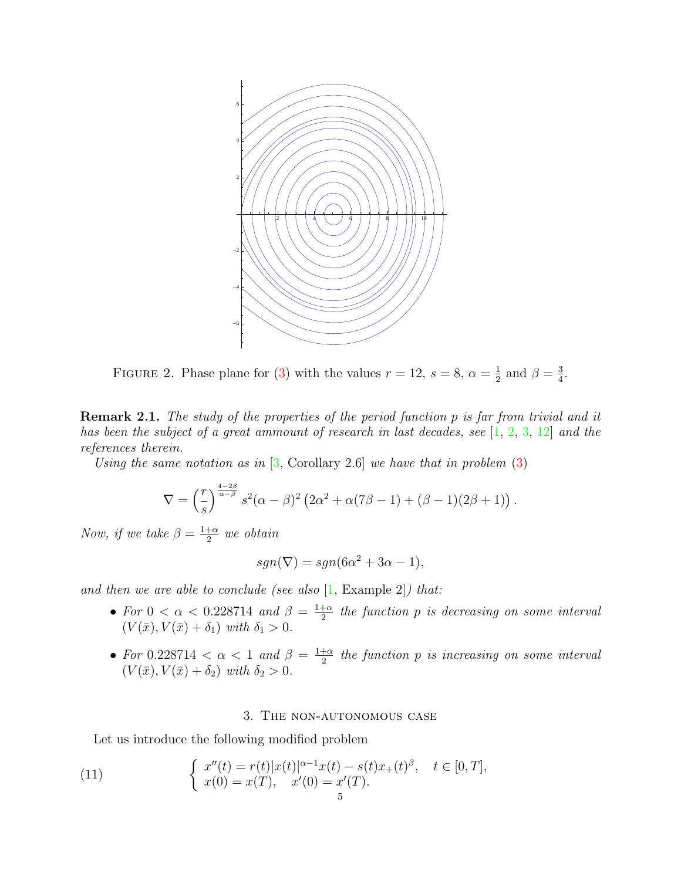

FIGURE 2. Phase plane for [\(3\)](#page-1-0) with the values  $r = 12$ ,  $s = 8$ ,  $\alpha = \frac{1}{2}$  $\frac{1}{2}$  and  $\beta = \frac{3}{4}$  $\frac{3}{4}$ .

Remark 2.1. The study of the properties of the period function p is far from trivial and it has been the subject of a great ammount of research in last decades, see [\[1,](#page-9-11) [2,](#page-9-12) [3,](#page-9-13) [12\]](#page-9-14) and the references therein.

Using the same notation as in  $[3,$  Corollary 2.6] we have that in problem  $(3)$ 

$$
\nabla = \left(\frac{r}{s}\right)^{\frac{4-2\beta}{\alpha-\beta}} s^2(\alpha-\beta)^2 \left(2\alpha^2 + \alpha(7\beta-1) + (\beta-1)(2\beta+1)\right).
$$

Now, if we take  $\beta = \frac{1+\alpha}{2}$  $rac{+\alpha}{2}$  we obtain

$$
sgn(\nabla) = sgn(6\alpha^2 + 3\alpha - 1),
$$

and then we are able to conclude (see also  $[1, \text{Example } 2]$  $[1, \text{Example } 2]$ ) that:

- For  $0 < \alpha < 0.228714$  and  $\beta = \frac{1+\alpha}{2}$  $\frac{+\alpha}{2}$  the function  $p$  is decreasing on some interval  $(V(\bar{x}), V(\bar{x}) + \delta_1)$  with  $\delta_1 > 0$ .
- For 0.228714  $\lt \alpha \lt 1$  and  $\beta = \frac{1+\alpha}{2}$  $\frac{+\alpha}{2}$  the function  $p$  is increasing on some interval  $(V(\bar{x}), V(\bar{x}) + \delta_2)$  with  $\delta_2 > 0$ .

### <span id="page-4-0"></span>3. The non-autonomous case

Let us introduce the following modified problem

(11) 
$$
\begin{cases} x''(t) = r(t)|x(t)|^{\alpha-1}x(t) - s(t)x_+(t)^{\beta}, & t \in [0, T], \\ x(0) = x(T), & x'(0) = x'(T). \end{cases}
$$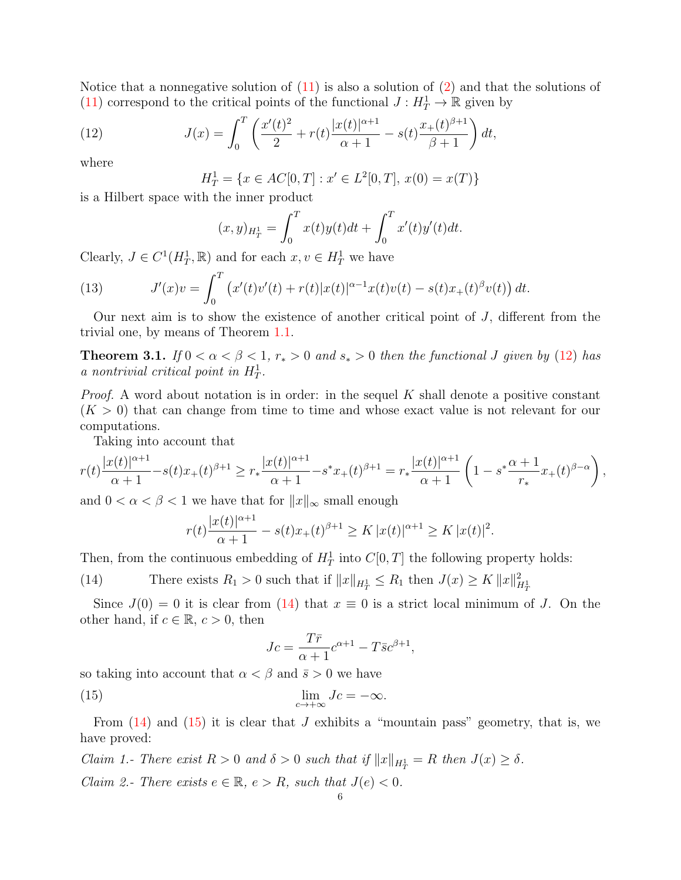Notice that a nonnegative solution of  $(11)$  is also a solution of  $(2)$  and that the solutions of [\(11\)](#page-4-0) correspond to the critical points of the functional  $J: H_T^1 \to \mathbb{R}$  given by

(12) 
$$
J(x) = \int_0^T \left( \frac{x'(t)^2}{2} + r(t) \frac{|x(t)|^{\alpha+1}}{\alpha+1} - s(t) \frac{x_+(t)^{\beta+1}}{\beta+1} \right) dt,
$$

where

<span id="page-5-0"></span>
$$
H_T^1 = \{ x \in AC[0, T] : x' \in L^2[0, T], x(0) = x(T) \}
$$

is a Hilbert space with the inner product

$$
(x,y)_{H_T^1} = \int_0^T x(t)y(t)dt + \int_0^T x'(t)y'(t)dt.
$$

Clearly,  $J \in C^1(H_T^1, \mathbb{R})$  and for each  $x, v \in H_T^1$  we have

<span id="page-5-3"></span>(13) 
$$
J'(x)v = \int_0^T \left( x'(t)v'(t) + r(t)|x(t)|^{\alpha-1}x(t)v(t) - s(t)x_+(t)^{\beta}v(t) \right) dt.
$$

Our next aim is to show the existence of another critical point of  $J$ , different from the trivial one, by means of Theorem [1.1.](#page-1-1)

<span id="page-5-4"></span>Theorem 3.1. If  $0 < \alpha < \beta < 1$ ,  $r_* > 0$  and  $s_* > 0$  then the functional J given by [\(12\)](#page-5-0) has a nontrivial critical point in  $H_T^1$ .

*Proof.* A word about notation is in order: in the sequel K shall denote a positive constant  $(K > 0)$  that can change from time to time and whose exact value is not relevant for our computations.

Taking into account that

$$
r(t)\frac{|x(t)|^{\alpha+1}}{\alpha+1} - s(t)x_+(t)^{\beta+1} \ge r_* \frac{|x(t)|^{\alpha+1}}{\alpha+1} - s^*x_+(t)^{\beta+1} = r_* \frac{|x(t)|^{\alpha+1}}{\alpha+1} \left(1 - s^* \frac{\alpha+1}{r_*} x_+(t)^{\beta-\alpha}\right),
$$

and  $0 < \alpha < \beta < 1$  we have that for  $||x||_{\infty}$  small enough

<span id="page-5-1"></span>
$$
r(t)\frac{|x(t)|^{\alpha+1}}{\alpha+1} - s(t)x_+(t)^{\beta+1} \ge K |x(t)|^{\alpha+1} \ge K |x(t)|^2.
$$

Then, from the continuous embedding of  $H_T^1$  into  $C[0,T]$  the following property holds:

(14) There exists  $R_1 > 0$  such that if  $||x||_{H^1_T} \le R_1$  then  $J(x) \ge K ||x||_{H^1_T}^2$ 

Since  $J(0) = 0$  it is clear from [\(14\)](#page-5-1) that  $x \equiv 0$  is a strict local minimum of J. On the other hand, if  $c \in \mathbb{R}$ ,  $c > 0$ , then

<span id="page-5-2"></span>
$$
Jc = \frac{T\bar{r}}{\alpha + 1}c^{\alpha + 1} - T\bar{s}c^{\beta + 1},
$$

so taking into account that  $\alpha < \beta$  and  $\bar{s} > 0$  we have

(15) 
$$
\lim_{c \to +\infty} Jc = -\infty.
$$

From  $(14)$  and  $(15)$  it is clear that J exhibits a "mountain pass" geometry, that is, we have proved:

Claim 1.- There exist  $R > 0$  and  $\delta > 0$  such that if  $||x||_{H^1_T} = R$  then  $J(x) \ge \delta$ . Claim 2.- There exists  $e \in \mathbb{R}$ ,  $e > R$ , such that  $J(e) < 0$ .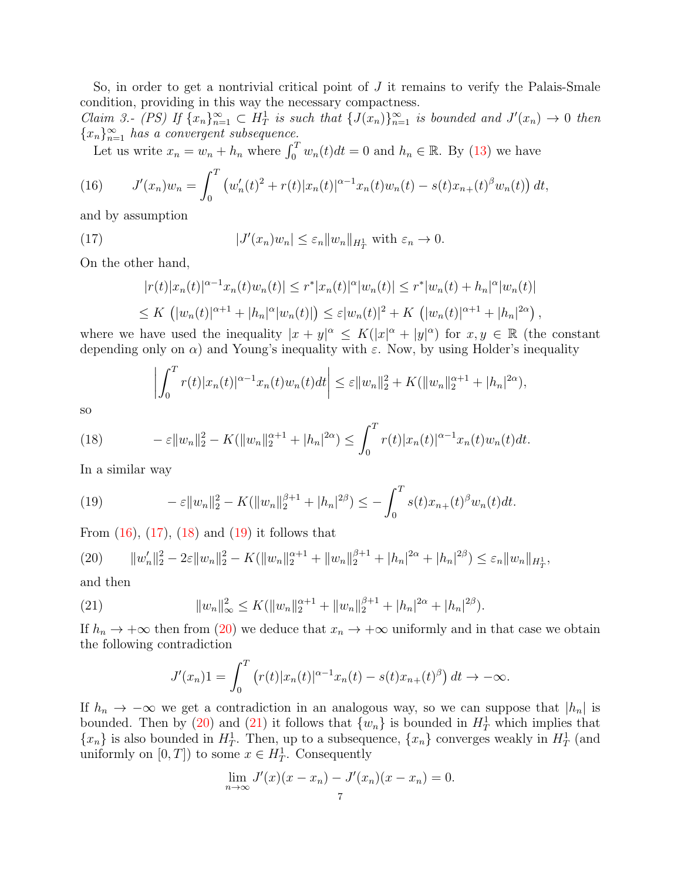So, in order to get a nontrivial critical point of J it remains to verify the Palais-Smale condition, providing in this way the necessary compactness.

Claim 3.- (PS) If  $\{x_n\}_{n=1}^{\infty} \subset H^1_T$  is such that  $\{J(x_n)\}_{n=1}^{\infty}$  is bounded and  $J'(x_n) \to 0$  then  ${x_n}_{n=1}^{\infty}$  has a convergent subsequence.

<span id="page-6-0"></span>Let us write  $x_n = w_n + h_n$  where  $\int_0^T w_n(t) dt = 0$  and  $h_n \in \mathbb{R}$ . By [\(13\)](#page-5-3) we have

(16) 
$$
J'(x_n)w_n = \int_0^T \left( w'_n(t)^2 + r(t)|x_n(t)|^{\alpha-1}x_n(t)w_n(t) - s(t)x_{n+}(t)^{\beta}w_n(t) \right) dt,
$$

and by assumption

(17) 
$$
|J'(x_n)w_n| \leq \varepsilon_n ||w_n||_{H_T^1} \text{ with } \varepsilon_n \to 0.
$$

On the other hand,

<span id="page-6-1"></span>
$$
|r(t)|x_n(t)|^{\alpha-1}x_n(t)w_n(t)| \le r^*|x_n(t)|^{\alpha}|w_n(t)| \le r^*|w_n(t) + h_n|^{\alpha}|w_n(t)|
$$
  

$$
\le K \left( |w_n(t)|^{\alpha+1} + |h_n|^{\alpha}|w_n(t)| \right) \le \varepsilon |w_n(t)|^2 + K \left( |w_n(t)|^{\alpha+1} + |h_n|^{2\alpha} \right),
$$

where we have used the inequality  $|x+y|^{\alpha} \leq K(|x|^{\alpha} + |y|^{\alpha})$  for  $x, y \in \mathbb{R}$  (the constant depending only on  $\alpha$ ) and Young's inequality with  $\varepsilon$ . Now, by using Holder's inequality

<span id="page-6-2"></span>
$$
\left| \int_0^T r(t) |x_n(t)|^{\alpha-1} x_n(t) w_n(t) dt \right| \leq \varepsilon ||w_n||_2^2 + K(||w_n||_2^{\alpha+1} + |h_n|^{2\alpha}),
$$

so

(18) 
$$
-\varepsilon \|w_n\|_2^2 - K(||w_n||_2^{\alpha+1} + |h_n|^{2\alpha}) \le \int_0^T r(t)|x_n(t)|^{\alpha-1}x_n(t)w_n(t)dt.
$$

In a similar way

<span id="page-6-3"></span>(19) 
$$
-\varepsilon \|w_n\|_2^2 - K(\|w_n\|_2^{\beta+1} + |h_n|^{2\beta}) \leq -\int_0^T s(t)x_{n+}(t)^{\beta}w_n(t)dt.
$$

From  $(16)$ ,  $(17)$ ,  $(18)$  and  $(19)$  it follows that

<span id="page-6-4"></span>
$$
(20) \qquad ||w_n'||_2^2 - 2\varepsilon ||w_n||_2^2 - K(||w_n||_2^{\alpha+1} + ||w_n||_2^{\beta+1} + |h_n|^{2\alpha} + |h_n|^{2\beta}) \le \varepsilon_n ||w_n||_{H_T^1},
$$

and then

(21) 
$$
||w_n||_{\infty}^2 \le K(||w_n||_2^{\alpha+1} + ||w_n||_2^{\beta+1} + |h_n|^{2\alpha} + |h_n|^{2\beta}).
$$

If  $h_n \to +\infty$  then from [\(20\)](#page-6-4) we deduce that  $x_n \to +\infty$  uniformly and in that case we obtain the following contradiction

<span id="page-6-5"></span>
$$
J'(x_n)1 = \int_0^T (r(t)|x_n(t)|^{\alpha-1}x_n(t) - s(t)x_{n+}(t)^{\beta}) dt \to -\infty.
$$

If  $h_n \to -\infty$  we get a contradiction in an analogous way, so we can suppose that  $|h_n|$  is bounded. Then by [\(20\)](#page-6-4) and [\(21\)](#page-6-5) it follows that  $\{w_n\}$  is bounded in  $H_T^1$  which implies that  $\{x_n\}$  is also bounded in  $H_T^1$ . Then, up to a subsequence,  $\{x_n\}$  converges weakly in  $H_T^1$  (and uniformly on  $[0, T]$ ) to some  $x \in H_T^1$ . Consequently

$$
\lim_{n \to \infty} J'(x)(x - x_n) - J'(x_n)(x - x_n) = 0.
$$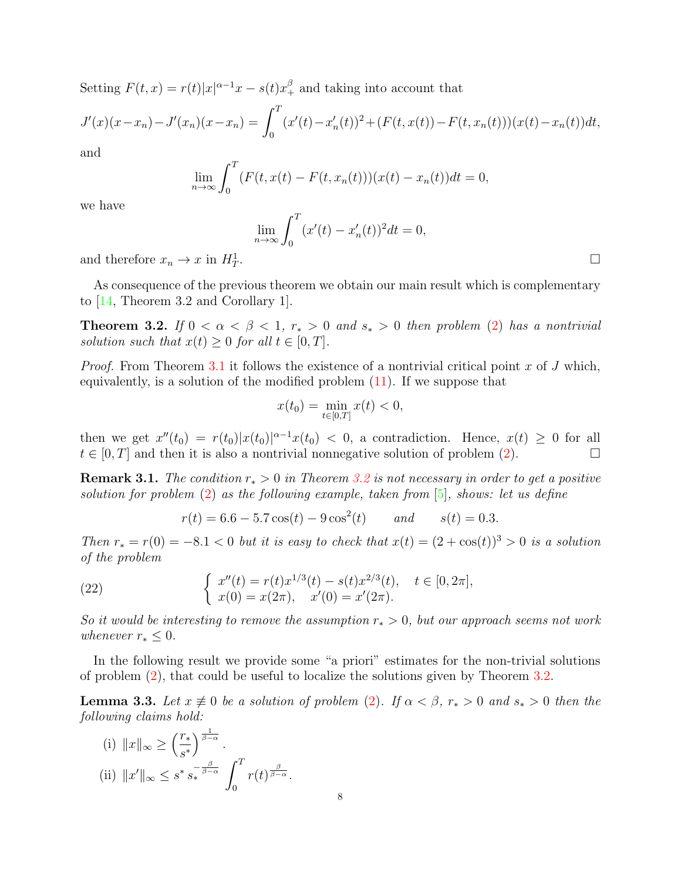Setting  $F(t, x) = r(t)|x|^{\alpha - 1}x - s(t)x_{+}^{\beta}$  and taking into account that

$$
J'(x)(x-x_n) - J'(x_n)(x-x_n) = \int_0^T (x'(t) - x'_n(t))^2 + (F(t, x(t)) - F(t, x_n(t)))(x(t) - x_n(t))dt,
$$

and

$$
\lim_{n \to \infty} \int_0^T (F(t, x(t) - F(t, x_n(t)))(x(t) - x_n(t))dt = 0,
$$

we have

$$
\lim_{n \to \infty} \int_0^T (x'(t) - x'_n(t))^2 dt = 0,
$$

and therefore  $x_n \to x$  in  $H^1_T$ 

As consequence of the previous theorem we obtain our main result which is complementary to [\[14,](#page-9-5) Theorem 3.2 and Corollary 1].

<span id="page-7-0"></span>Theorem 3.2. If  $0 < \alpha < \beta < 1$ ,  $r_* > 0$  and  $s_* > 0$  then problem [\(2\)](#page-0-1) has a nontrivial solution such that  $x(t) \geq 0$  for all  $t \in [0, T]$ .

*Proof.* From Theorem [3.1](#page-5-4) it follows the existence of a nontrivial critical point x of J which, equivalently, is a solution of the modified problem [\(11\)](#page-4-0). If we suppose that

$$
x(t_0) = \min_{t \in [0,T]} x(t) < 0,
$$

then we get  $x''(t_0) = r(t_0)|x(t_0)|^{\alpha-1}x(t_0) < 0$ , a contradiction. Hence,  $x(t) \geq 0$  for all  $t \in [0, T]$  and then it is also a nontrivial nonnegative solution of problem [\(2\)](#page-0-1).

**Remark 3.1.** The condition  $r_* > 0$  in Theorem [3.2](#page-7-0) is not necessary in order to get a positive solution for problem  $(2)$  as the following example, taken from  $[5]$ , shows: let us define

$$
r(t) = 6.6 - 5.7 \cos(t) - 9 \cos^2(t)
$$
 and  $s(t) = 0.3$ .

Then  $r_* = r(0) = -8.1 < 0$  but it is easy to check that  $x(t) = (2 + \cos(t))^3 > 0$  is a solution of the problem

(22) 
$$
\begin{cases} x''(t) = r(t)x^{1/3}(t) - s(t)x^{2/3}(t), & t \in [0, 2\pi],\\ x(0) = x(2\pi), & x'(0) = x'(2\pi). \end{cases}
$$

So it would be interesting to remove the assumption  $r_* > 0$ , but our approach seems not work whenever  $r_* \leq 0$ .

In the following result we provide some "a priori" estimates for the non-trivial solutions of problem [\(2\)](#page-0-1), that could be useful to localize the solutions given by Theorem [3.2.](#page-7-0)

<span id="page-7-1"></span>**Lemma 3.3.** Let  $x \neq 0$  be a solution of problem [\(2\)](#page-0-1). If  $\alpha < \beta$ ,  $r_* > 0$  and  $s_* > 0$  then the following claims hold:

(i) 
$$
||x||_{\infty} \ge \left(\frac{r_*}{s^*}\right)^{\frac{1}{\beta-\alpha}}
$$
.  
\n(ii)  $||x'||_{\infty} \le s^* s_*^{-\frac{\beta}{\beta-\alpha}} \int_0^T r(t)^{\frac{\beta}{\beta-\alpha}}$ .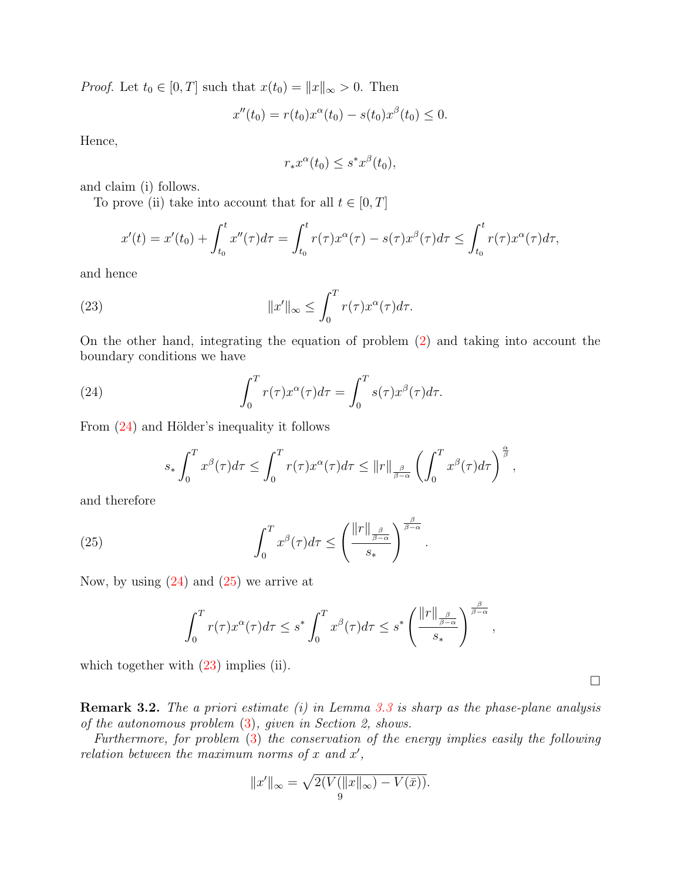*Proof.* Let  $t_0 \in [0, T]$  such that  $x(t_0) = ||x||_{\infty} > 0$ . Then

$$
x''(t_0) = r(t_0)x^{\alpha}(t_0) - s(t_0)x^{\beta}(t_0) \leq 0.
$$

Hence,

<span id="page-8-2"></span>
$$
r_*x^{\alpha}(t_0) \leq s^*x^{\beta}(t_0),
$$

and claim (i) follows.

To prove (ii) take into account that for all  $t \in [0, T]$ 

$$
x'(t) = x'(t_0) + \int_{t_0}^t x''(\tau) d\tau = \int_{t_0}^t r(\tau) x^{\alpha}(\tau) - s(\tau) x^{\beta}(\tau) d\tau \le \int_{t_0}^t r(\tau) x^{\alpha}(\tau) d\tau,
$$

and hence

(23) 
$$
||x'||_{\infty} \leq \int_0^T r(\tau) x^{\alpha}(\tau) d\tau.
$$

On the other hand, integrating the equation of problem [\(2\)](#page-0-1) and taking into account the boundary conditions we have

(24) 
$$
\int_0^T r(\tau) x^{\alpha}(\tau) d\tau = \int_0^T s(\tau) x^{\beta}(\tau) d\tau.
$$

From  $(24)$  and Hölder's inequality it follows

<span id="page-8-0"></span>
$$
s_* \int_0^T x^{\beta}(\tau) d\tau \leq \int_0^T r(\tau) x^{\alpha}(\tau) d\tau \leq ||r||_{\frac{\beta}{\beta-\alpha}} \left( \int_0^T x^{\beta}(\tau) d\tau \right)^{\frac{\alpha}{\beta}},
$$

.

and therefore

(25) 
$$
\int_0^T x^{\beta}(\tau) d\tau \leq \left(\frac{\|r\|_{\frac{\beta}{\beta-\alpha}}}{s_*}\right)^{\frac{\beta}{\beta-\alpha}}
$$

Now, by using  $(24)$  and  $(25)$  we arrive at

<span id="page-8-1"></span>
$$
\int_0^T r(\tau)x^{\alpha}(\tau)d\tau \leq s^* \int_0^T x^{\beta}(\tau)d\tau \leq s^* \left(\frac{\|r\|_{\frac{\beta}{\beta-\alpha}}}{s_*}\right)^{\frac{\beta}{\beta-\alpha}},
$$

which together with  $(23)$  implies (ii).

**Remark 3.2.** The a priori estimate (i) in Lemma [3.3](#page-7-1) is sharp as the phase-plane analysis of the autonomous problem [\(3\)](#page-1-0), given in Section 2, shows.

Furthermore, for problem [\(3\)](#page-1-0) the conservation of the energy implies easily the following relation between the maximum norms of  $x$  and  $x'$ ,

$$
||x'||_{\infty} = \sqrt{2(V(||x||_{\infty}) - V(\bar{x}))}.
$$

 $\Box$